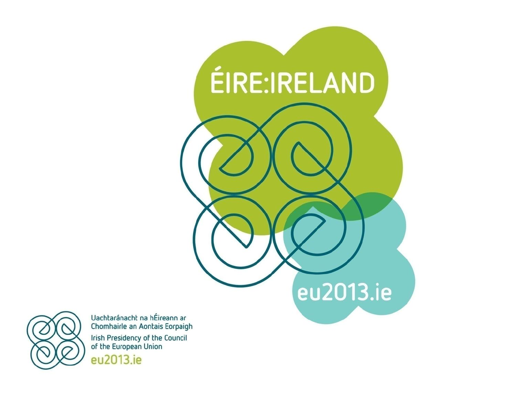



Uachtaránacht na hÉireann ar Chomhairle an Aontais Eorpaigh Irish Presidency of the Council<br>of the European Union eu2013.ie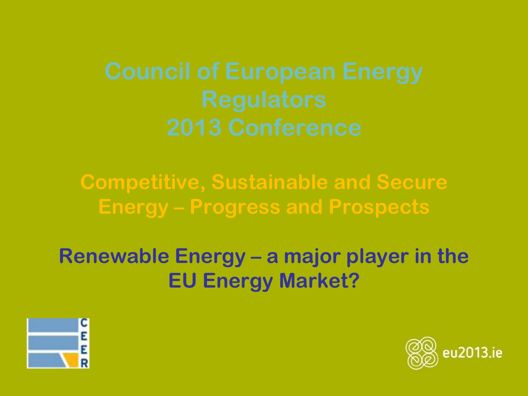**Competitive, Sustainable and Secure Energy – Progress and Prospects**

**Renewable Energy – a major player in the EU Energy Market?**



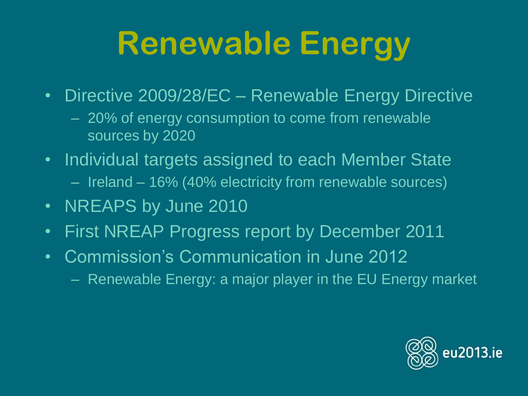## **Renewable Energy**

- Directive 2009/28/EC Renewable Energy Directive
	- 20% of energy consumption to come from renewable sources by 2020
- Individual targets assigned to each Member State – Ireland – 16% (40% electricity from renewable sources)
- NREAPS by June 2010
- First NREAP Progress report by December 2011
- Commission's Communication in June 2012
	- Renewable Energy: a major player in the EU Energy market

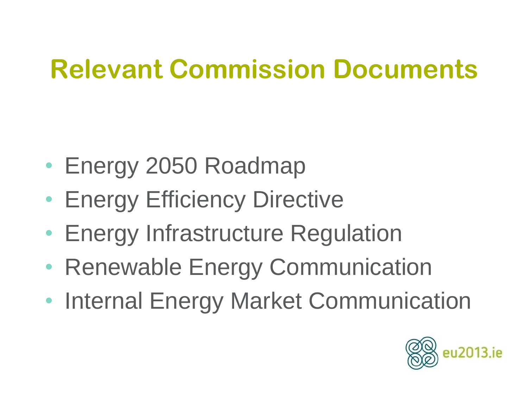### **Relevant Commission Documents**

- Energy 2050 Roadmap
- Energy Efficiency Directive
- Energy Infrastructure Regulation
- Renewable Energy Communication
- Internal Energy Market Communication

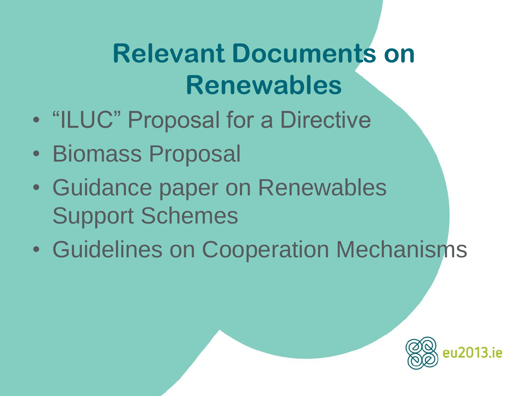### **Relevant Documents on Renewables**

- "ILUC" Proposal for a Directive
- Biomass Proposal
- Guidance paper on Renewables Support Schemes
- Guidelines on Cooperation Mechanisms

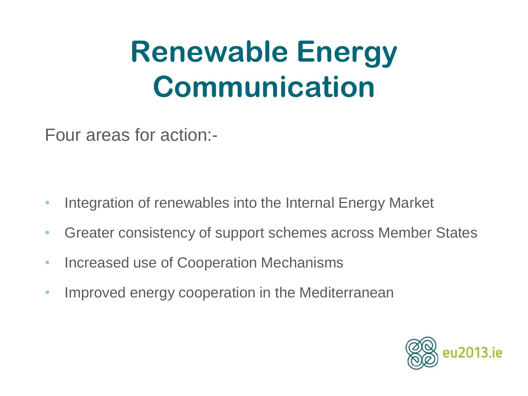### **Renewable Energy Communication**

Four areas for action:-

- Integration of renewables into the Internal Energy Market
- Greater consistency of support schemes across Member States
- Increased use of Cooperation Mechanisms
- Improved energy cooperation in the Mediterranean

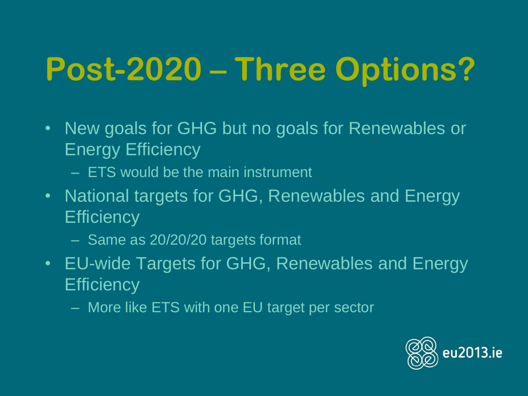# **Post-2020 – Three Options?**

- New goals for GHG but no goals for Renewables or Energy Efficiency
	- ETS would be the main instrument
- National targets for GHG, Renewables and Energy **Efficiency** 
	- Same as 20/20/20 targets format
- EU-wide Targets for GHG, Renewables and Energy **Efficiency** 
	- More like ETS with one EU target per sector

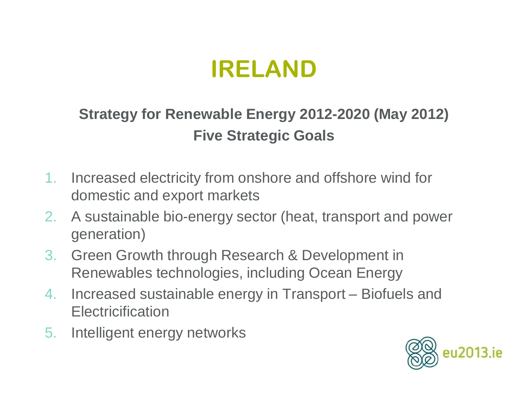### **IRELAND**

### **Strategy for Renewable Energy 2012-2020 (May 2012) Five Strategic Goals**

- 1. Increased electricity from onshore and offshore wind for domestic and export markets
- 2. A sustainable bio-energy sector (heat, transport and power generation)
- 3. Green Growth through Research & Development in Renewables technologies, including Ocean Energy
- 4. Increased sustainable energy in Transport Biofuels and Electricification
- 5. Intelligent energy networks

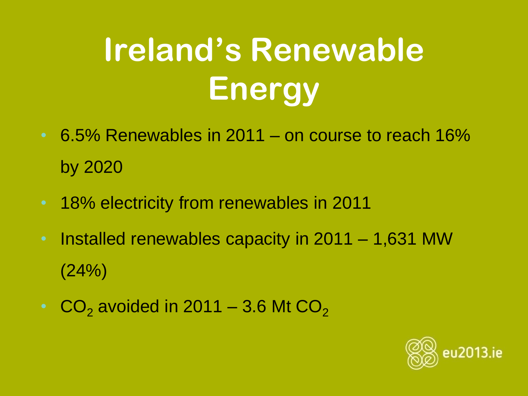# **Ireland's Renewable Energy**

- 6.5% Renewables in 2011 on course to reach 16% by 2020
- 18% electricity from renewables in 2011
- Installed renewables capacity in 2011 1,631 MW (24%)
- $CO<sub>2</sub>$  avoided in 2011 3.6 Mt  $CO<sub>2</sub>$

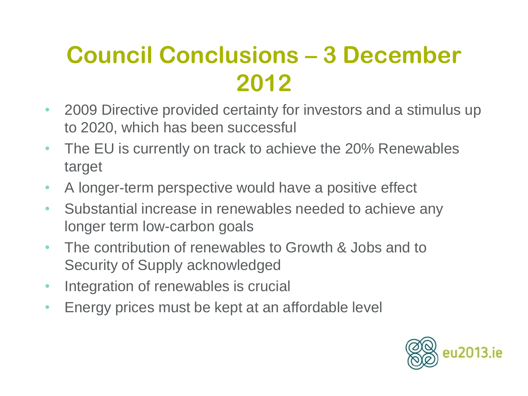### **Council Conclusions – 3 December 2012**

- 2009 Directive provided certainty for investors and a stimulus up to 2020, which has been successful
- The EU is currently on track to achieve the 20% Renewables target
- A longer-term perspective would have a positive effect
- Substantial increase in renewables needed to achieve any longer term low-carbon goals
- The contribution of renewables to Growth & Jobs and to Security of Supply acknowledged
- Integration of renewables is crucial
- Energy prices must be kept at an affordable level

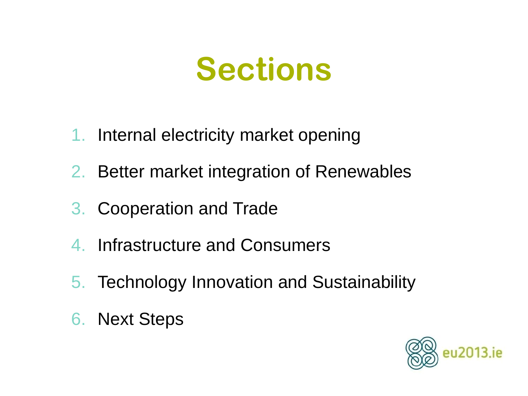### **Sections**

- 1. Internal electricity market opening
- 2. Better market integration of Renewables
- 3. Cooperation and Trade
- 4. Infrastructure and Consumers
- 5. Technology Innovation and Sustainability
- 6. Next Steps

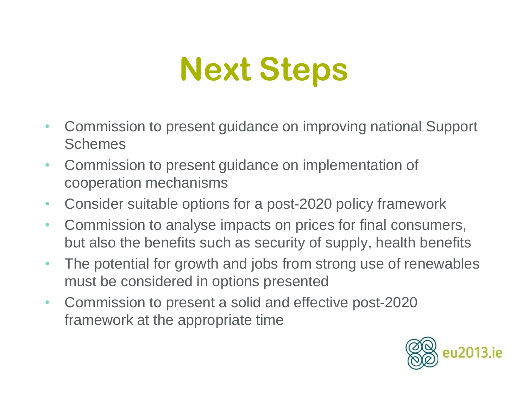# **Next Steps**

- Commission to present guidance on improving national Support **Schemes**
- Commission to present guidance on implementation of cooperation mechanisms
- Consider suitable options for a post-2020 policy framework
- Commission to analyse impacts on prices for final consumers, but also the benefits such as security of supply, health benefits
- The potential for growth and jobs from strong use of renewables must be considered in options presented
- Commission to present a solid and effective post-2020 framework at the appropriate time

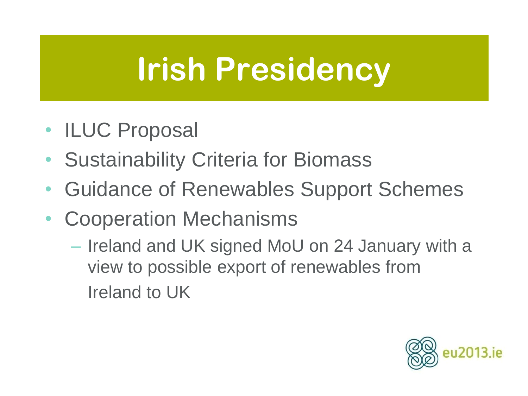### **Irish Presidency**

- ILUC Proposal
- Sustainability Criteria for Biomass
- Guidance of Renewables Support Schemes
- Cooperation Mechanisms
	- Ireland and UK signed MoU on 24 January with a view to possible export of renewables from Ireland to UK